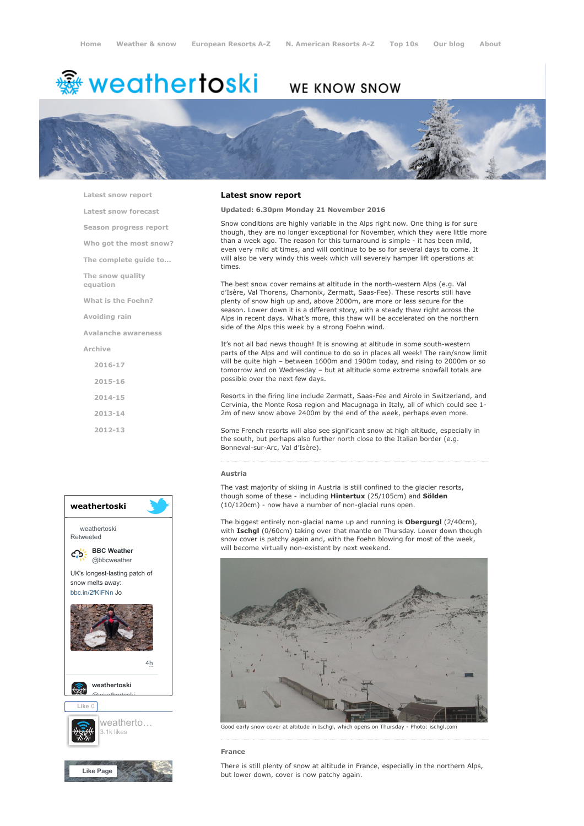# <del>鑾</del> weathertoski

# WE KNOW SNOW



[Latest snow report](https://www.weathertoski.co.uk/weather-snow/latest-snow-report/)

[Latest snow forecast](https://www.weathertoski.co.uk/weather-snow/latest-snow-forecast/) [Season progress report](https://www.weathertoski.co.uk/weather-snow/season-progress-report/)

[Who got the most snow?](https://www.weathertoski.co.uk/weather-snow/who-got-the-most-snow/)

[The complete guide to...](https://www.weathertoski.co.uk/weather-snow/the-complete-guide-to/)

[The snow quality](https://www.weathertoski.co.uk/weather-snow/the-snow-quality-equation/)

[What is the Foehn?](https://www.weathertoski.co.uk/weather-snow/what-is-the-foehn/)

[Avoiding rain](https://www.weathertoski.co.uk/weather-snow/avoiding-rain/)

equation

[Avalanche awareness](https://www.weathertoski.co.uk/weather-snow/avalanche-awareness/)

[Archive](https://www.weathertoski.co.uk/weather-snow/archive/)

[2016-17](https://www.weathertoski.co.uk/weather-snow/archive/2016-17/) [2015-16](https://www.weathertoski.co.uk/weather-snow/archive/2015-16/) [2014-15](https://www.weathertoski.co.uk/weather-snow/archive/2014-15/) [2013-14](https://www.weathertoski.co.uk/weather-snow/archive/2013-14/)

[2012-13](https://www.weathertoski.co.uk/weather-snow/archive/2012-13/)



# Latest snow report

## Updated: 6.30pm Monday 21 November 2016

Snow conditions are highly variable in the Alps right now. One thing is for sure though, they are no longer exceptional for November, which they were little more than a week ago. The reason for this turnaround is simple - it has been mild, even very mild at times, and will continue to be so for several days to come. It will also be very windy this week which will severely hamper lift operations at times.

The best snow cover remains at altitude in the north-western Alps (e.g. Val d'Isère, Val Thorens, Chamonix, Zermatt, Saas-Fee). These resorts still have plenty of snow high up and, above 2000m, are more or less secure for the season. Lower down it is a different story, with a steady thaw right across the Alps in recent days. What's more, this thaw will be accelerated on the northern side of the Alps this week by a strong Foehn wind.

It's not all bad news though! It is snowing at altitude in some south-western parts of the Alps and will continue to do so in places all week! The rain/snow limit will be quite high – between 1600m and 1900m today, and rising to 2000m or so tomorrow and on Wednesday – but at altitude some extreme snowfall totals are possible over the next few days.

Resorts in the firing line include Zermatt, Saas-Fee and Airolo in Switzerland, and Cervinia, the Monte Rosa region and Macugnaga in Italy, all of which could see 1- 2m of new snow above 2400m by the end of the week, perhaps even more.

Some French resorts will also see significant snow at high altitude, especially in the south, but perhaps also further north close to the Italian border (e.g. Bonneval-sur-Arc, Val d'Isère).

# Austria

The vast majority of skiing in Austria is still confined to the glacier resorts, though some of these - including Hintertux (25/105cm) and Sölden (10/120cm) - now have a number of non-glacial runs open.

The biggest entirely non-glacial name up and running is Obergurgl (2/40cm), with Ischgl (0/60cm) taking over that mantle on Thursday. Lower down though snow cover is patchy again and, with the Foehn blowing for most of the week, will become virtually non-existent by next weekend.



Good early snow cover at altitude in Ischgl, which opens on Thursday - Photo: ischgl.com

### France

There is still plenty of snow at altitude in France, especially in the northern Alps, but lower down, cover is now patchy again.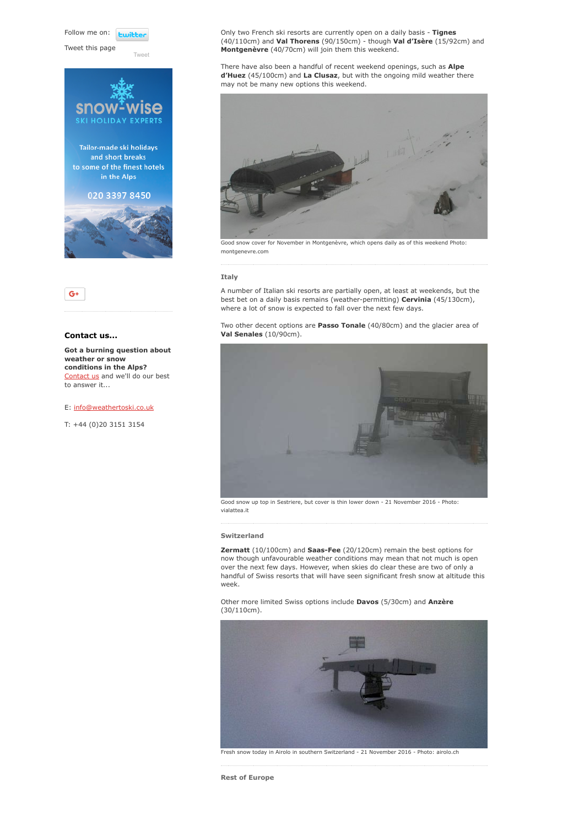Follow me on: **Lwitte** 

[Tweet](https://twitter.com/intent/tweet?original_referer=https%3A%2F%2Fwww.weathertoski.co.uk%2Fweather-snow%2Farchive%2Fsnow-report-21-11-2016%2F&ref_src=twsrc%5Etfw&text=Weather%20to%20ski%20-%20Snow%20report%20-%2021%20November%202016&tw_p=tweetbutton&url=https%3A%2F%2Fwww.weathertoski.co.uk%2Fweather-snow%2Farchive%2Fsnow-report-21-11-2016%2F)

Tweet this page





# Contact us...

Got a burning question about weather or snow conditions in the Alps? [Contact us](https://www.weathertoski.co.uk/about-1/contact-us/) and we'll do our best to answer it...

E: [info@weathertoski.co.uk](mailto:fraser@weathertoski.co.uk)

T: +44 (0)20 3151 3154

Only two French ski resorts are currently open on a daily basis - Tignes (40/110cm) and Val Thorens (90/150cm) - though Val d'Isère (15/92cm) and Montgenèvre (40/70cm) will join them this weekend.

There have also been a handful of recent weekend openings, such as **Alpe** d'Huez (45/100cm) and La Clusaz, but with the ongoing mild weather there may not be many new options this weekend.



Good snow cover for November in Montgenèvre, which opens daily as of this weekend Photo: montgenevre.com

#### Italy

A number of Italian ski resorts are partially open, at least at weekends, but the best bet on a daily basis remains (weather-permitting) Cervinia (45/130cm), where a lot of snow is expected to fall over the next few days.

Two other decent options are Passo Tonale (40/80cm) and the glacier area of Val Senales (10/90cm).



Good snow up top in Sestriere, but cover is thin lower down - 21 November 2016 - Photo: vialattea.it

#### Switzerland

Zermatt (10/100cm) and Saas-Fee (20/120cm) remain the best options for now though unfavourable weather conditions may mean that not much is open over the next few days. However, when skies do clear these are two of only a handful of Swiss resorts that will have seen significant fresh snow at altitude this week.

Other more limited Swiss options include Davos (5/30cm) and Anzère (30/110cm).



Fresh snow today in Airolo in southern Switzerland - 21 November 2016 - Photo: airolo.ch

Rest of Europe